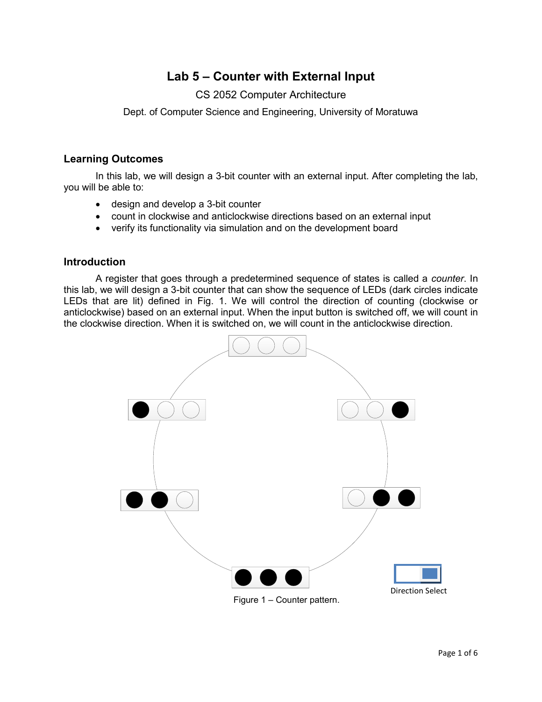# **Lab 5 – Counter with External Input**

## CS 2052 Computer Architecture

Dept. of Computer Science and Engineering, University of Moratuwa

## **Learning Outcomes**

In this lab, we will design a 3-bit counter with an external input. After completing the lab, you will be able to:

- design and develop a 3-bit counter
- count in clockwise and anticlockwise directions based on an external input
- verify its functionality via simulation and on the development board

### **Introduction**

A register that goes through a predetermined sequence of states is called a *counter*. In this lab, we will design a 3-bit counter that can show the sequence of LEDs (dark circles indicate LEDs that are lit) defined in Fig. 1. We will control the direction of counting (clockwise or anticlockwise) based on an external input. When the input button is switched off, we will count in the clockwise direction. When it is switched on, we will count in the anticlockwise direction.



Figure 1 – Counter pattern.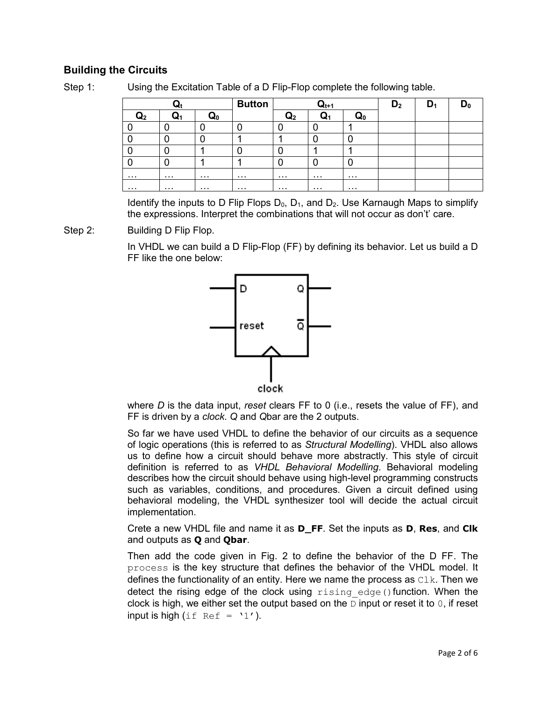## **Building the Circuits**

| l |  |  |
|---|--|--|
|---|--|--|

Using the Excitation Table of a D Flip-Flop complete the following table.

| w  |   |   | <b>Button</b> | $\mathbf{Q}_{\mathsf{t}^{+1}}$ |          |    | D <sub>2</sub> | υı |  |
|----|---|---|---------------|--------------------------------|----------|----|----------------|----|--|
| ч2 |   |   |               | ७५२                            | W1       | ω۵ |                |    |  |
|    |   |   |               |                                |          |    |                |    |  |
|    |   |   |               |                                |          |    |                |    |  |
|    |   |   |               |                                |          |    |                |    |  |
|    |   |   |               |                                |          |    |                |    |  |
| .  | . | . | .             | .                              | .        | .  |                |    |  |
| .  | . | . | .             | .                              | $\cdots$ | .  |                |    |  |

Identify the inputs to D Flip Flops  $D_0$ ,  $D_1$ , and  $D_2$ . Use Karnaugh Maps to simplify the expressions. Interpret the combinations that will not occur as don't' care.

Step 2: Building D Flip Flop.

In VHDL we can build a D Flip-Flop (FF) by defining its behavior. Let us build a D FF like the one below:



where *D* is the data input, *reset* clears FF to 0 (i.e., resets the value of FF), and FF is driven by a *clock*. *Q* and *Q*bar are the 2 outputs.

So far we have used VHDL to define the behavior of our circuits as a sequence of logic operations (this is referred to as *Structural Modelling*). VHDL also allows us to define how a circuit should behave more abstractly. This style of circuit definition is referred to as *VHDL Behavioral Modelling*. Behavioral modeling describes how the circuit should behave using high-level programming constructs such as variables, conditions, and procedures. Given a circuit defined using behavioral modeling, the VHDL synthesizer tool will decide the actual circuit implementation.

Crete a new VHDL file and name it as **D\_FF**. Set the inputs as **D**, **Res**, and **Clk** and outputs as **Q** and **Qbar**.

Then add the code given in Fig. 2 to define the behavior of the D FF. The process is the key structure that defines the behavior of the VHDL model. It defines the functionality of an entity. Here we name the process as  $C1k$ . Then we detect the rising edge of the clock using rising edge() function. When the clock is high, we either set the output based on the  $D$  input or reset it to 0, if reset input is high (if  $Ref = '1')$ .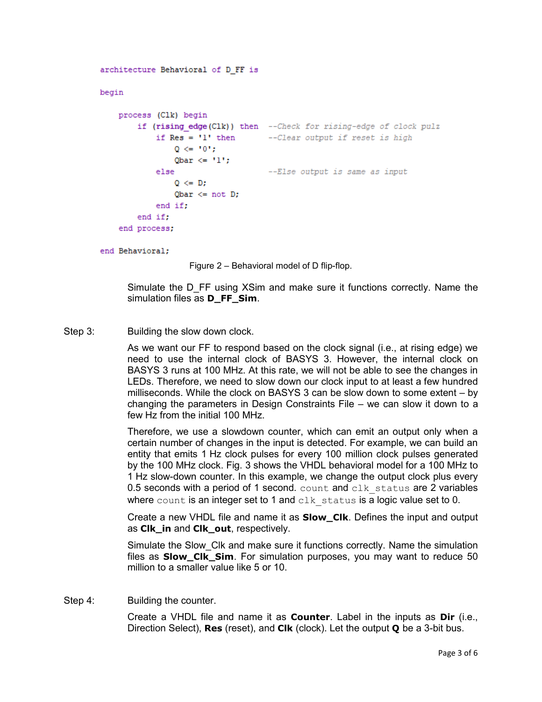```
architecture Behavioral of D FF is
begin
    process (Clk) begin
        if (rising edge(Clk)) then --Check for rising-edge of clock pulz
            if Res = 'l' then --Clear output if reset is high
                Q \le 10!;
                Qbar \leq 1':
                                   --Else output is same as input
            else
                0 \leq DQbar \leq not D;
            end if;
        end if;
    end process;
```
end Behavioral:

Figure 2 – Behavioral model of D flip-flop.

Simulate the D\_FF using XSim and make sure it functions correctly. Name the simulation files as **D\_FF\_Sim**.

Step 3: Building the slow down clock.

As we want our FF to respond based on the clock signal (i.e., at rising edge) we need to use the internal clock of BASYS 3. However, the internal clock on BASYS 3 runs at 100 MHz. At this rate, we will not be able to see the changes in LEDs. Therefore, we need to slow down our clock input to at least a few hundred milliseconds. While the clock on BASYS 3 can be slow down to some extent – by changing the parameters in Design Constraints File – we can slow it down to a few Hz from the initial 100 MHz.

Therefore, we use a slowdown counter, which can emit an output only when a certain number of changes in the input is detected. For example, we can build an entity that emits 1 Hz clock pulses for every 100 million clock pulses generated by the 100 MHz clock. Fig. 3 shows the VHDL behavioral model for a 100 MHz to 1 Hz slow-down counter. In this example, we change the output clock plus every 0.5 seconds with a period of 1 second.  $count$  and  $clk$  status are 2 variables where count is an integer set to 1 and  $c1k$  status is a logic value set to 0.

Create a new VHDL file and name it as **Slow\_Clk**. Defines the input and output as **Clk\_in** and **Clk\_out**, respectively.

Simulate the Slow\_Clk and make sure it functions correctly. Name the simulation files as **Slow\_Clk\_Sim**. For simulation purposes, you may want to reduce 50 million to a smaller value like 5 or 10.

Step 4: Building the counter.

Create a VHDL file and name it as **Counter**. Label in the inputs as **Dir** (i.e., Direction Select), **Res** (reset), and **Clk** (clock). Let the output **Q** be a 3-bit bus.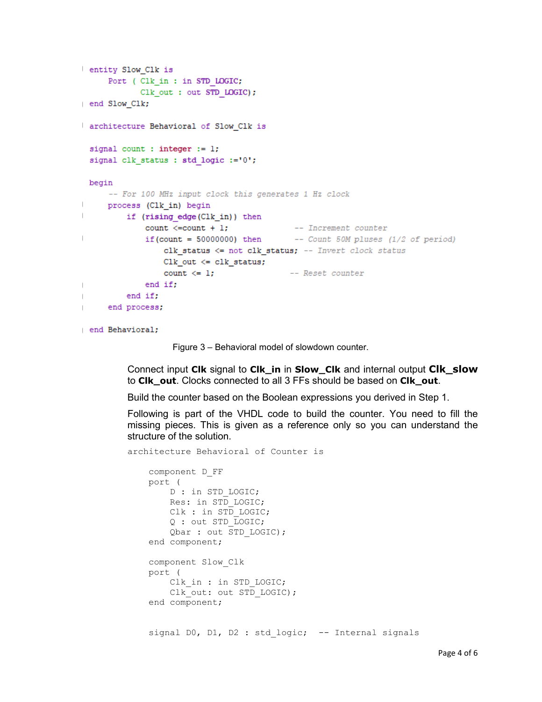```
entity Slow Clk is
      Port ( Clk in : in STD LOGIC;
             Clk out : out STD LOGIC);
end Slow Clk;
architecture Behavioral of Slow Clk is
 signal count : integer := 1;
 signal clk status : std logic :='0';
 begin
     -- For 100 MHz input clock this generates 1 Hz clock
\vertprocess (Clk_in) begin
\vertif (rising edge(Clk_in)) then
              count \le=count + 1;
                                               -- Increment counter
              if (count = 50000000) then -- Count 50M pluses (1/2 of period)
\vertclk_status <= not clk_status; -- Invert clock_status
                  Clk out \leq clk status;
                  count \leq 1;
                                              -- Reset counter
              end if:
\mathbf{I}end if;
\mathbf{I}end process;
\mathbb{L}
```
end Behavioral;

Figure 3 – Behavioral model of slowdown counter.

Connect input **Clk** signal to **Clk\_in** in **Slow\_Clk** and internal output **Clk\_slow** to **Clk\_out**. Clocks connected to all 3 FFs should be based on **Clk\_out**.

Build the counter based on the Boolean expressions you derived in Step 1.

Following is part of the VHDL code to build the counter. You need to fill the missing pieces. This is given as a reference only so you can understand the structure of the solution.

architecture Behavioral of Counter is

```
 component D_FF
 port ( 
    D : in STD LOGIC;
     Res: in STD_LOGIC;
    Clk : in STD LOGIC;
     Q : out STD_LOGIC;
    Qbar : out STD LOGIC);
 end component;
 component Slow_Clk
 port ( 
    Clk in : in STD LOGIC;
    Clk out: out STD LOGIC);
 end component;
```
signal DO, D1, D2 : std logic; -- Internal signals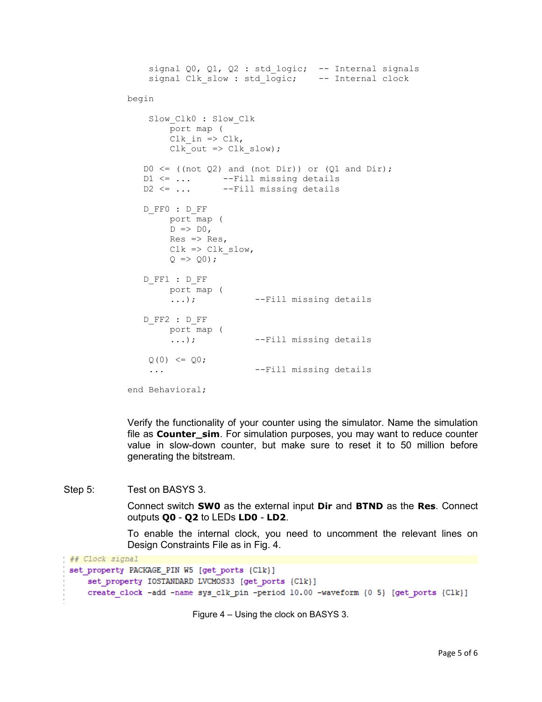```
signal Q0, Q1, Q2 : std logic; -- Internal signals
    signal Clk slow : std logic; -- Internal clock
begin
    Slow Clk0 : Slow Clk
         port map ( 
        Clk in \Rightarrow Clk,
        Clk out \Rightarrow Clk slow);
   D0 \leq ( \text{not } Q2) and ( \text{not } Dir )) or (Q1 \text{ and Dir});
   D1 <= ... -- Fill missing details
   D2 <= ... -- Fill missing details
   D_FF0 : D_FF
         port map ( 
        D \implies D0,Res \Rightarrow Res,
        Clk \Rightarrow Clk slow,
        Q \implies Q0; D_FF1 : D_FF
         port map ( 
          ...); --Fill missing details
   D_FF2 : D_FF
         port map ( 
         ...); --Fill missing details
    Q(0) \leq Q0; ... --Fill missing details
```

```
end Behavioral;
```
Verify the functionality of your counter using the simulator. Name the simulation file as **Counter\_sim**. For simulation purposes, you may want to reduce counter value in slow-down counter, but make sure to reset it to 50 million before generating the bitstream.

Step 5: Test on BASYS 3.

Connect switch **SW0** as the external input **Dir** and **BTND** as the **Res**. Connect outputs **Q0** - **Q2** to LEDs **LD0** - **LD2**.

To enable the internal clock, you need to uncomment the relevant lines on Design Constraints File as in Fig. 4.

```
## Clock signal
 set property PACKAGE_PIN W5 [get ports {Clk}]
     set property IOSTANDARD LVCMOS33 [get ports {Clk}]
     create clock -add -name sys clk pin -period 10.00 -waveform {0 5} [get ports {Clk}]
```
Figure 4 – Using the clock on BASYS 3.